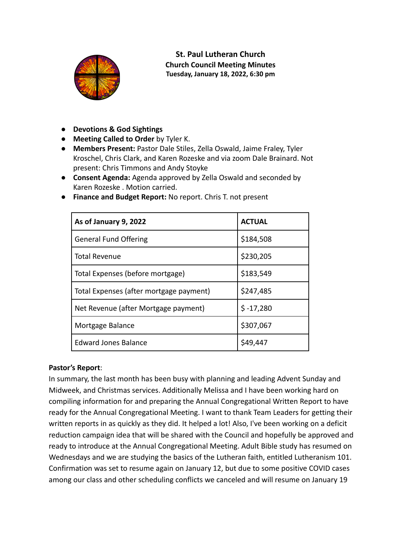

**St. Paul Lutheran Church Church Council Meeting Minutes Tuesday, January 18, 2022, 6:30 pm**

- **● Devotions & God Sightings**
- **● Meeting Called to Order** by Tyler K.
- **● Members Present:** Pastor Dale Stiles, Zella Oswald, Jaime Fraley, Tyler Kroschel, Chris Clark, and Karen Rozeske and via zoom Dale Brainard. Not present: Chris Timmons and Andy Stoyke
- **● Consent Agenda:** Agenda approved by Zella Oswald and seconded by Karen Rozeske . Motion carried.

| As of January 9, 2022                   | <b>ACTUAL</b> |
|-----------------------------------------|---------------|
| <b>General Fund Offering</b>            | \$184,508     |
| <b>Total Revenue</b>                    | \$230,205     |
| Total Expenses (before mortgage)        | \$183,549     |
| Total Expenses (after mortgage payment) | \$247,485     |
| Net Revenue (after Mortgage payment)    | $$ -17,280$   |
| Mortgage Balance                        | \$307,067     |
| <b>Edward Jones Balance</b>             | \$49,447      |

● **Finance and Budget Report:** No report. Chris T. not present

# **Pastor's Report**:

In summary, the last month has been busy with planning and leading Advent Sunday and Midweek, and Christmas services. Additionally Melissa and I have been working hard on compiling information for and preparing the Annual Congregational Written Report to have ready for the Annual Congregational Meeting. I want to thank Team Leaders for getting their written reports in as quickly as they did. It helped a lot! Also, I've been working on a deficit reduction campaign idea that will be shared with the Council and hopefully be approved and ready to introduce at the Annual Congregational Meeting. Adult Bible study has resumed on Wednesdays and we are studying the basics of the Lutheran faith, entitled Lutheranism 101. Confirmation was set to resume again on January 12, but due to some positive COVID cases among our class and other scheduling conflicts we canceled and will resume on January 19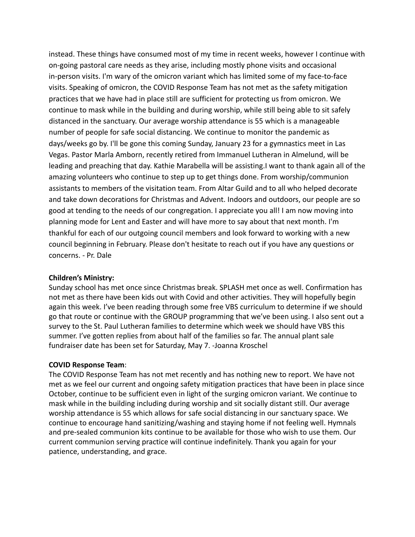instead. These things have consumed most of my time in recent weeks, however I continue with on-going pastoral care needs as they arise, including mostly phone visits and occasional in-person visits. I'm wary of the omicron variant which has limited some of my face-to-face visits. Speaking of omicron, the COVID Response Team has not met as the safety mitigation practices that we have had in place still are sufficient for protecting us from omicron. We continue to mask while in the building and during worship, while still being able to sit safely distanced in the sanctuary. Our average worship attendance is 55 which is a manageable number of people for safe social distancing. We continue to monitor the pandemic as days/weeks go by. I'll be gone this coming Sunday, January 23 for a gymnastics meet in Las Vegas. Pastor Marla Amborn, recently retired from Immanuel Lutheran in Almelund, will be leading and preaching that day. Kathie Marabella will be assisting.I want to thank again all of the amazing volunteers who continue to step up to get things done. From worship/communion assistants to members of the visitation team. From Altar Guild and to all who helped decorate and take down decorations for Christmas and Advent. Indoors and outdoors, our people are so good at tending to the needs of our congregation. I appreciate you all! I am now moving into planning mode for Lent and Easter and will have more to say about that next month. I'm thankful for each of our outgoing council members and look forward to working with a new council beginning in February. Please don't hesitate to reach out if you have any questions or concerns. - Pr. Dale

### **Children's Ministry:**

Sunday school has met once since Christmas break. SPLASH met once as well. Confirmation has not met as there have been kids out with Covid and other activities. They will hopefully begin again this week. I've been reading through some free VBS curriculum to determine if we should go that route or continue with the GROUP programming that we've been using. I also sent out a survey to the St. Paul Lutheran families to determine which week we should have VBS this summer. I've gotten replies from about half of the families so far. The annual plant sale fundraiser date has been set for Saturday, May 7. -Joanna Kroschel

#### **COVID Response Team**:

The COVID Response Team has not met recently and has nothing new to report. We have not met as we feel our current and ongoing safety mitigation practices that have been in place since October, continue to be sufficient even in light of the surging omicron variant. We continue to mask while in the building including during worship and sit socially distant still. Our average worship attendance is 55 which allows for safe social distancing in our sanctuary space. We continue to encourage hand sanitizing/washing and staying home if not feeling well. Hymnals and pre-sealed communion kits continue to be available for those who wish to use them. Our current communion serving practice will continue indefinitely. Thank you again for your patience, understanding, and grace.